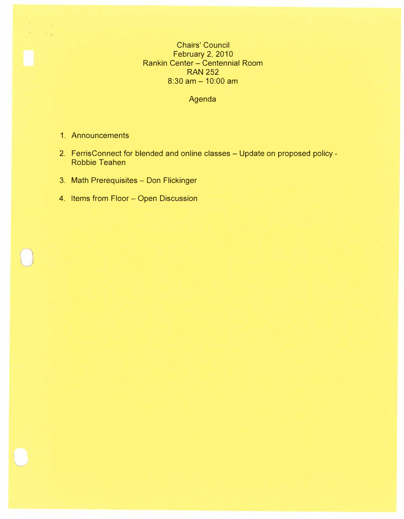Chairs' Council February 2, 2010 Rankin Center - Centennial Room RAN 252  $8:30$  am  $- 10:00$  am

Agenda

1. Announcements

All Corporation  $\rightarrow$ 

- 2. FerrisConnect for blended and online classes Update on proposed policy -Robbie Teahen
- 3. Math Prerequisites Don Flickinger
- 4. Items from Floor Open Discussion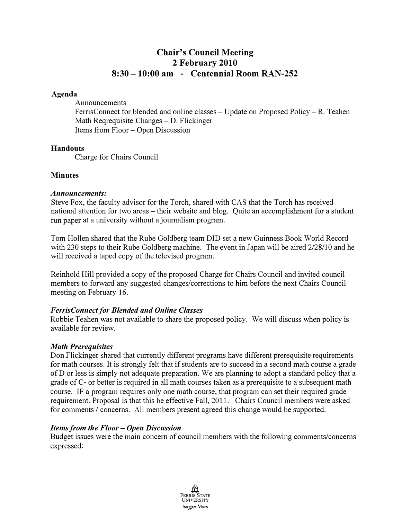# **Chair's Council Meeting 2 February 2010 8:30 -10:00 am - Centennial Room RAN-252**

#### **Agenda**

Announcements

FerrisConnect for blended and online classes – Update on Proposed Policy – R. Teahen Math Regrequisite Changes – D. Flickinger Items from Floor - Open Discussion

#### **Handouts**

Charge for Chairs Council

## **Minutes**

#### *Announcements:*

Steve Fox, the faculty advisor for the Torch, shared with CAS that the Torch has received national attention for two areas - their website and blog. Quite an accomplishment for a student run paper at a university without a journalism program.

Tom Hollen shared that the Rube Goldberg team DID set a new Guinness Book World Record with 230 steps to their Rube Goldberg machine. The event in Japan will be aired 2/28/10 and he will received a taped copy of the televised program.

Reinhold Hill provided a copy of the proposed Charge for Chairs Council and invited council members to forward any suggested changes/corrections to him before the next Chairs Council meeting on February 16.

# **FerrisConnect for Blended and Online Classes**

Robbie Teahen was not available to share the proposed policy. We will discuss when policy is available for review.

#### *Math Prerequisites*

Don Flickinger shared that currently different programs have different prerequisite requirements for math courses. It is strongly felt that if students are to succeed in a second math course a grade of D or less is simply not adequate preparation. We are planning to adopt a standard policy that a grade of C- or better is required in all math courses taken as a prerequisite to a subsequent math course. IF a program requires only one math course, that program can set their required grade requirement. Proposal is that this be effective Fall, 2011. Chairs Council members were asked for comments / concerns. All members present agreed this change would be supported.

#### *Items from the Floor* **-** *Open Discussion*

Budget issues were the main concern of council members with the following comments/concerns expressed:

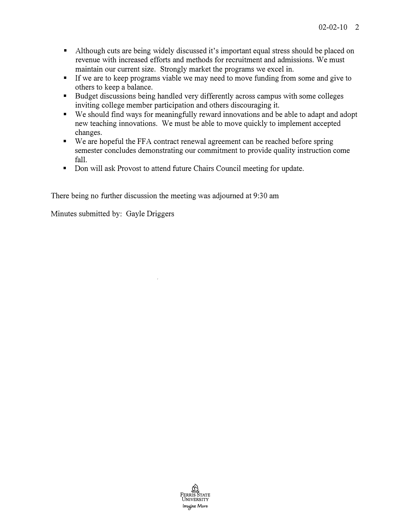- Although cuts are being widely discussed it's important equal stress should be placed on revenue with increased efforts and methods for recruitment and admissions. We must maintain our current size. Strongly market the programs we excel in.<br> **•** If we are to keep programs viable we may need to move funding from some and give to
- 
- others to keep a balance.<br>• Budget discussions being handled very differently across campus with some colleges
- inviting college member participation and others discouraging it. We should find ways for meaningfully reward innovations and be able to adapt and adopt new teaching innovations. We must be able to move quickly to implement accepted
- changes. We are hopeful the FF A contract renewal agreement can be reached before spring semester concludes demonstrating our commitment to provide quality instruction come
- fall.<br>
Don will ask Provost to attend future Chairs Council meeting for update.

There being no further discussion the meeting was adjourned at 9:30 am

Minutes submitted by: Gayle Driggers